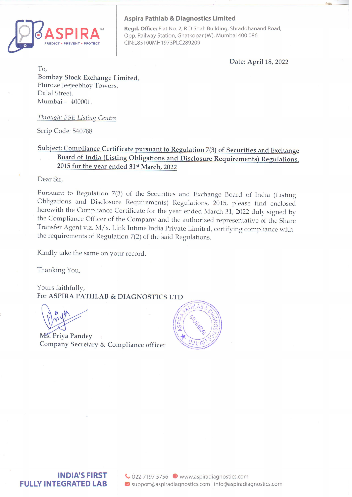

## Aspira Pathlab & Diagnostics Limited

Regd. Office: Flat No. 2, R D Shah Building, Shraddhanand Road, Opp. Railway Station, Ghatkopar (W), Mumbai 400 086 CIN:L85100MH1973PLC289209

Date: April 18, 2022

To, Bombay Stock Exchange Limited, Phiroze Jeejeebhoy Towers, Dalal Street, Mumbai - 400001.

Through: BSE Listine Centre

Scrip Code: 540788

## Subject: Compliance Certificate pursuant to Regulation 7(3) of Securities and Exchange Board of India (Listing Obligations and Disclosure Requirements) Regulations, 2015 for the year ended 31st March, 2022

Dear Sir,

Pursuant to Regulation 7(3) of the Securities and Exchange Board of India (Listing Obligations and Disclosure Requirements) Regulations, 2015, please find enclosed herewith the Compliance Certificate for the year ended Ma

Kindly take the same on your record.

Thanking You,

Yours faithfully, For ASPIRA PATHLAB & DIAGNOSTICSLTD

Ms. Priya Pandey Company Secretary & Compliance officer